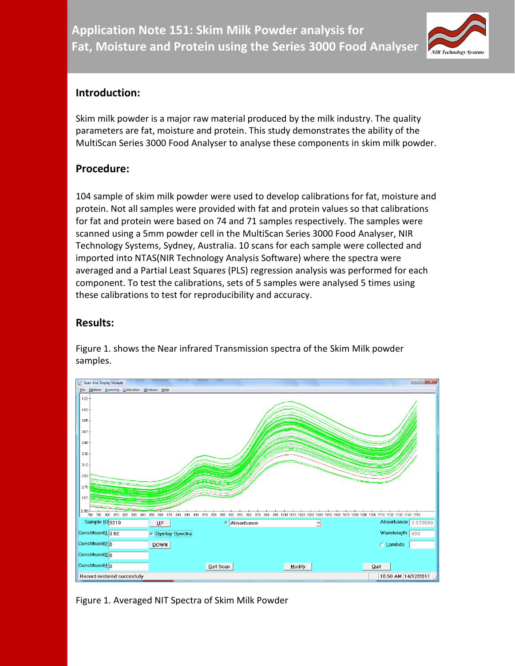

# **Introduction:**

Skim milk powder is a major raw material produced by the milk industry. The quality parameters are fat, moisture and protein. This study demonstrates the ability of the MultiScan Series 3000 Food Analyser to analyse these components in skim milk powder.

# **Procedure:**

104 sample of skim milk powder were used to develop calibrations for fat, moisture and protein. Not all samples were provided with fat and protein values so that calibrations for fat and protein were based on 74 and 71 samples respectively. The samples were scanned using a 5mm powder cell in the MultiScan Series 3000 Food Analyser, NIR Technology Systems, Sydney, Australia. 10 scans for each sample were collected and imported into NTAS(NIR Technology Analysis Software) where the spectra were averaged and a Partial Least Squares (PLS) regression analysis was performed for each component. To test the calibrations, sets of 5 samples were analysed 5 times using these calibrations to test for reproducibility and accuracy.

# **Results:**

Figure 1. shows the Near infrared Transmission spectra of the Skim Milk powder samples.



Figure 1. Averaged NIT Spectra of Skim Milk Powder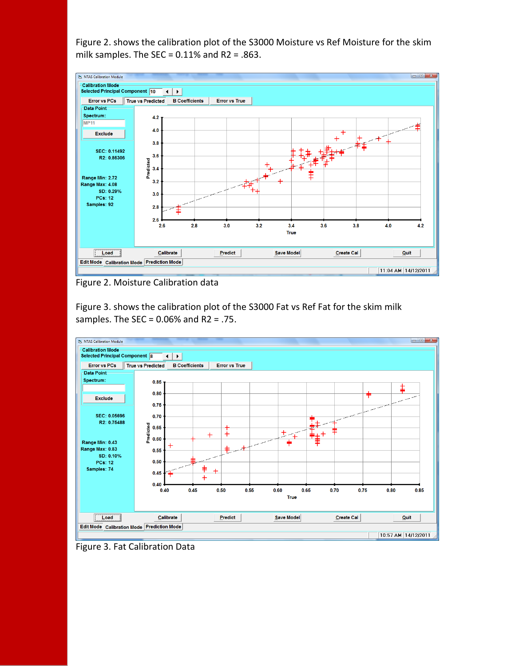Figure 2. shows the calibration plot of the S3000 Moisture vs Ref Moisture for the skim milk samples. The SEC =  $0.11\%$  and R2 = .863.



Figure 2. Moisture Calibration data

Figure 3. shows the calibration plot of the S3000 Fat vs Ref Fat for the skim milk samples. The SEC =  $0.06%$  and R2 = .75.



Figure 3. Fat Calibration Data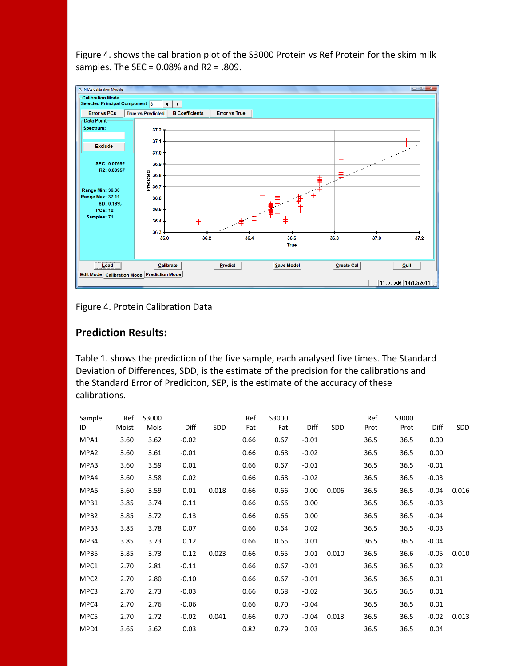Figure 4. shows the calibration plot of the S3000 Protein vs Ref Protein for the skim milk samples. The SEC =  $0.08\%$  and R2 = .809.



Figure 4. Protein Calibration Data

## **Prediction Results:**

Table 1. shows the prediction of the five sample, each analysed five times. The Standard Deviation of Differences, SDD, is the estimate of the precision for the calibrations and the Standard Error of Prediciton, SEP, is the estimate of the accuracy of these calibrations.

| Sample<br>ID     | Ref<br>Moist | S3000<br>Mois | Diff    | SDD   | Ref<br>Fat | S3000<br>Fat | Diff    | SDD   | Ref<br>Prot | S3000<br>Prot | Diff    | SDD   |
|------------------|--------------|---------------|---------|-------|------------|--------------|---------|-------|-------------|---------------|---------|-------|
| MPA1             | 3.60         | 3.62          | $-0.02$ |       | 0.66       | 0.67         | $-0.01$ |       | 36.5        | 36.5          | 0.00    |       |
| MPA <sub>2</sub> | 3.60         | 3.61          | $-0.01$ |       | 0.66       | 0.68         | $-0.02$ |       | 36.5        | 36.5          | 0.00    |       |
| MPA3             | 3.60         | 3.59          | 0.01    |       | 0.66       | 0.67         | $-0.01$ |       | 36.5        | 36.5          | $-0.01$ |       |
| MPA4             | 3.60         | 3.58          | 0.02    |       | 0.66       | 0.68         | $-0.02$ |       | 36.5        | 36.5          | $-0.03$ |       |
| MPA5             | 3.60         | 3.59          | 0.01    | 0.018 | 0.66       | 0.66         | 0.00    | 0.006 | 36.5        | 36.5          | $-0.04$ | 0.016 |
| MPB1             | 3.85         | 3.74          | 0.11    |       | 0.66       | 0.66         | 0.00    |       | 36.5        | 36.5          | $-0.03$ |       |
| MPB2             | 3.85         | 3.72          | 0.13    |       | 0.66       | 0.66         | 0.00    |       | 36.5        | 36.5          | $-0.04$ |       |
| MPB3             | 3.85         | 3.78          | 0.07    |       | 0.66       | 0.64         | 0.02    |       | 36.5        | 36.5          | $-0.03$ |       |
| MPB4             | 3.85         | 3.73          | 0.12    |       | 0.66       | 0.65         | 0.01    |       | 36.5        | 36.5          | $-0.04$ |       |
| MPB5             | 3.85         | 3.73          | 0.12    | 0.023 | 0.66       | 0.65         | 0.01    | 0.010 | 36.5        | 36.6          | $-0.05$ | 0.010 |
| MPC1             | 2.70         | 2.81          | $-0.11$ |       | 0.66       | 0.67         | $-0.01$ |       | 36.5        | 36.5          | 0.02    |       |
| MPC <sub>2</sub> | 2.70         | 2.80          | $-0.10$ |       | 0.66       | 0.67         | $-0.01$ |       | 36.5        | 36.5          | 0.01    |       |
| MPC3             | 2.70         | 2.73          | $-0.03$ |       | 0.66       | 0.68         | $-0.02$ |       | 36.5        | 36.5          | 0.01    |       |
| MPC4             | 2.70         | 2.76          | $-0.06$ |       | 0.66       | 0.70         | $-0.04$ |       | 36.5        | 36.5          | 0.01    |       |
| MPC5             | 2.70         | 2.72          | $-0.02$ | 0.041 | 0.66       | 0.70         | $-0.04$ | 0.013 | 36.5        | 36.5          | $-0.02$ | 0.013 |
| MPD1             | 3.65         | 3.62          | 0.03    |       | 0.82       | 0.79         | 0.03    |       | 36.5        | 36.5          | 0.04    |       |